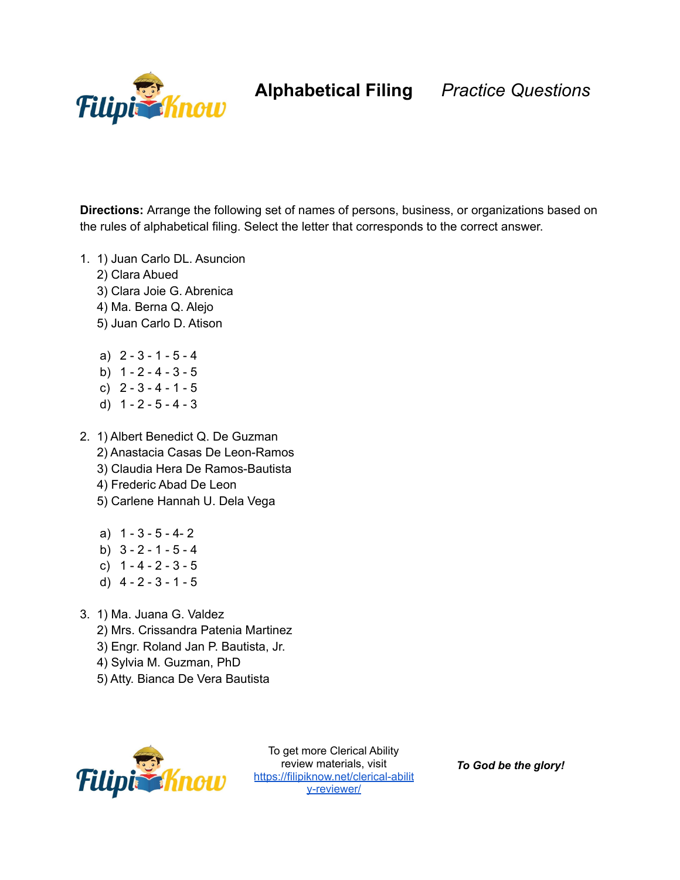

**Alphabetical Filing** *Practice Questions*

**Directions:** Arrange the following set of names of persons, business, or organizations based on the rules of alphabetical filing. Select the letter that corresponds to the correct answer.

- 1. 1) Juan Carlo DL. Asuncion
	- 2) Clara Abued
	- 3) Clara Joie G. Abrenica
	- 4) Ma. Berna Q. Alejo
	- 5) Juan Carlo D. Atison
	- a) 2 3 1 5 4
	- b)  $1 2 4 3 5$
	- c)  $2 3 4 1 5$
	- d)  $1 2 5 4 3$
- 2. 1) Albert Benedict Q. De Guzman
	- 2) Anastacia Casas De Leon-Ramos
	- 3) Claudia Hera De Ramos-Bautista
	- 4) Frederic Abad De Leon
	- 5) Carlene Hannah U. Dela Vega
	- a) 1 3 5 4- 2 b)  $3 - 2 - 1 - 5 - 4$
	- c)  $1 4 2 3 5$
	- d)  $4 2 3 1 5$
- 3. 1) Ma. Juana G. Valdez
	- 2) Mrs. Crissandra Patenia Martinez
	- 3) Engr. Roland Jan P. Bautista, Jr.
	- 4) Sylvia M. Guzman, PhD
	- 5) Atty. Bianca De Vera Bautista



To get more Clerical Ability review materials, visit [https://filipiknow.net/clerical-abilit](https://filipiknow.net/clerical-ability-reviewer/) [y-reviewer/](https://filipiknow.net/clerical-ability-reviewer/)

*To God be the glory!*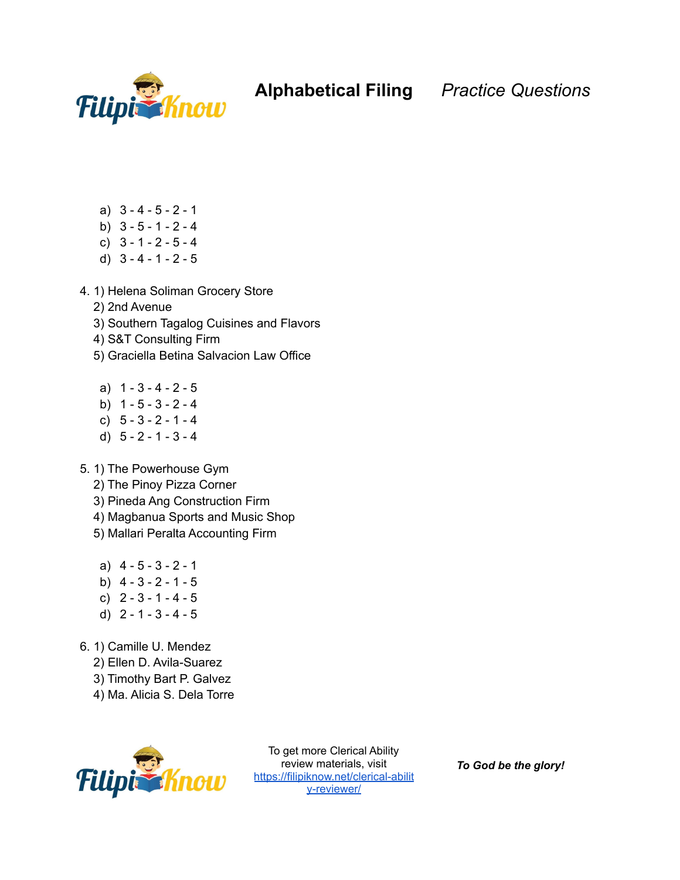

## **Alphabetical Filing** *Practice Questions*

- a) 3 4 5 2 1
- b)  $3 5 1 2 4$
- c) 3 1 2 5 4
- d) 3 4 1 2 5
- 4. 1) Helena Soliman Grocery Store
	- 2) 2nd Avenue
	- 3) Southern Tagalog Cuisines and Flavors
	- 4) S&T Consulting Firm
	- 5) Graciella Betina Salvacion Law Office
	- a) 1 3 4 2 5
	- b)  $1 5 3 2 4$
	- c)  $5 3 2 1 4$
	- d) 5 2 1 3 4
- 5. 1) The Powerhouse Gym
	- 2) The Pinoy Pizza Corner
	- 3) Pineda Ang Construction Firm
	- 4) Magbanua Sports and Music Shop
	- 5) Mallari Peralta Accounting Firm
	- a) 4 5 3 2 1
	- b)  $4 3 2 1 5$
	- c)  $2 3 1 4 5$
	- d) 2 1 3 4 5
- 6. 1) Camille U. Mendez
	- 2) Ellen D. Avila-Suarez
	- 3) Timothy Bart P. Galvez
	- 4) Ma. Alicia S. Dela Torre



To get more Clerical Ability review materials, visit [https://filipiknow.net/clerical-abilit](https://filipiknow.net/clerical-ability-reviewer/) [y-reviewer/](https://filipiknow.net/clerical-ability-reviewer/)

*To God be the glory!*